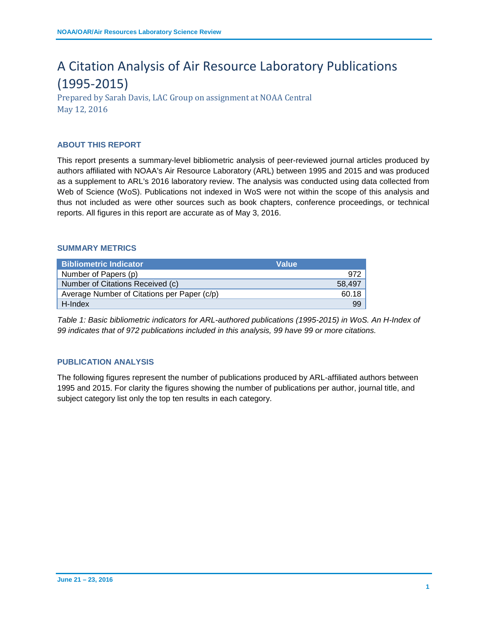# A Citation Analysis of Air Resource Laboratory Publications (1995-2015)

Prepared by Sarah Davis, LAC Group on assignment at NOAA Central May 12, 2016

# **ABOUT THIS REPORT**

This report presents a summary-level bibliometric analysis of peer-reviewed journal articles produced by authors affiliated with NOAA's Air Resource Laboratory (ARL) between 1995 and 2015 and was produced as a supplement to ARL's 2016 laboratory review. The analysis was conducted using data collected from Web of Science (WoS). Publications not indexed in WoS were not within the scope of this analysis and thus not included as were other sources such as book chapters, conference proceedings, or technical reports. All figures in this report are accurate as of May 3, 2016.

#### **SUMMARY METRICS**

| <b>Bibliometric Indicator</b>               | <b>Value</b> |
|---------------------------------------------|--------------|
| Number of Papers (p)                        | 972          |
| Number of Citations Received (c)            | 58.497       |
| Average Number of Citations per Paper (c/p) | 60.18        |
| H-Index                                     | 99           |

*Table 1: Basic bibliometric indicators for ARL-authored publications (1995-2015) in WoS. An H-Index of 99 indicates that of 972 publications included in this analysis, 99 have 99 or more citations.* 

## **PUBLICATION ANALYSIS**

The following figures represent the number of publications produced by ARL-affiliated authors between 1995 and 2015. For clarity the figures showing the number of publications per author, journal title, and subject category list only the top ten results in each category.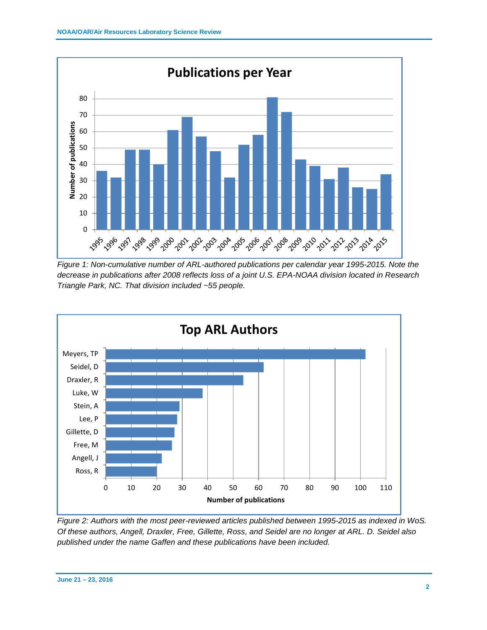

*Figure 1: Non-cumulative number of ARL-authored publications per calendar year 1995-2015. Note the decrease in publications after 2008 reflects loss of a joint U.S. EPA-NOAA division located in Research Triangle Park, NC. That division included ~55 people.*



*Figure 2: Authors with the most peer-reviewed articles published between 1995-2015 as indexed in WoS. Of these authors, Angell, Draxler, Free, Gillette, Ross, and Seidel are no longer at ARL. D. Seidel also published under the name Gaffen and these publications have been included.*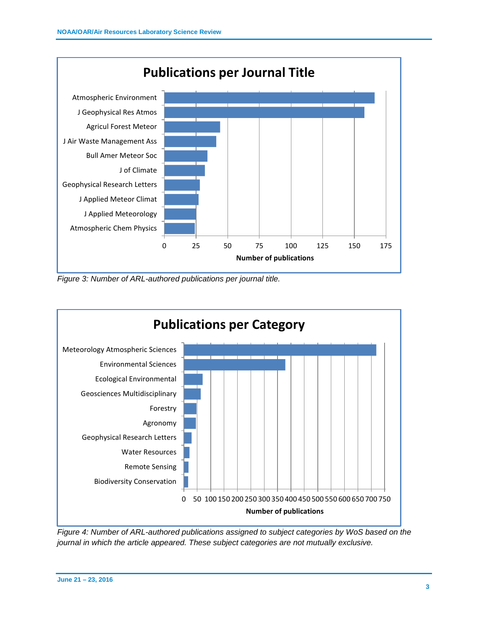

*Figure 3: Number of ARL-authored publications per journal title.*



*Figure 4: Number of ARL-authored publications assigned to subject categories by WoS based on the journal in which the article appeared. These subject categories are not mutually exclusive.*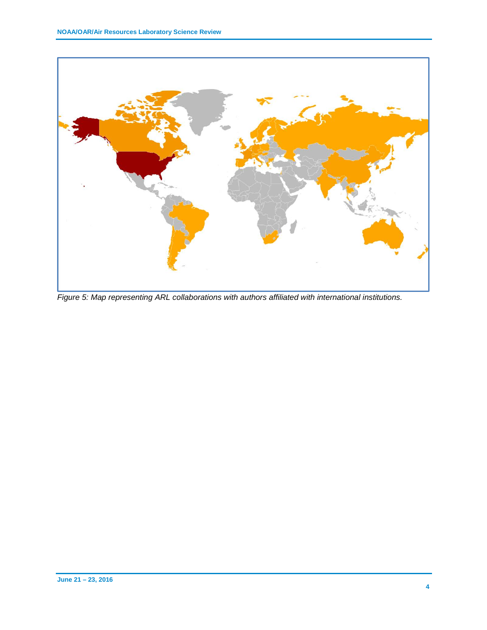

*Figure 5: Map representing ARL collaborations with authors affiliated with international institutions.*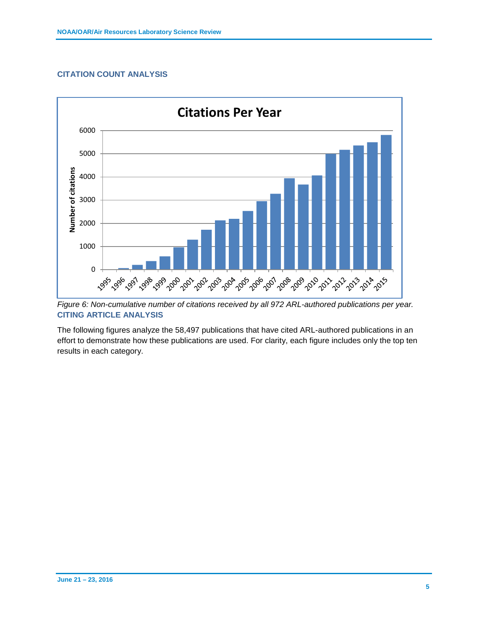## **CITATION COUNT ANALYSIS**



*Figure 6: Non-cumulative number of citations received by all 972 ARL-authored publications per year.* **CITING ARTICLE ANALYSIS**

The following figures analyze the 58,497 publications that have cited ARL-authored publications in an effort to demonstrate how these publications are used. For clarity, each figure includes only the top ten results in each category.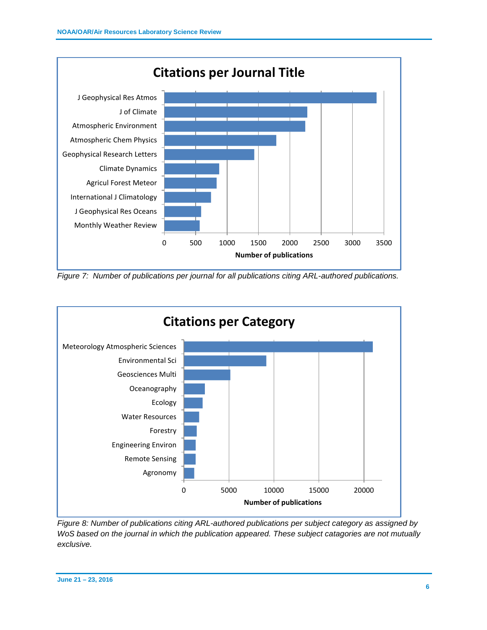

*Figure 7: Number of publications per journal for all publications citing ARL-authored publications.*



*Figure 8: Number of publications citing ARL-authored publications per subject category as assigned by WoS based on the journal in which the publication appeared. These subject catagories are not mutually exclusive.*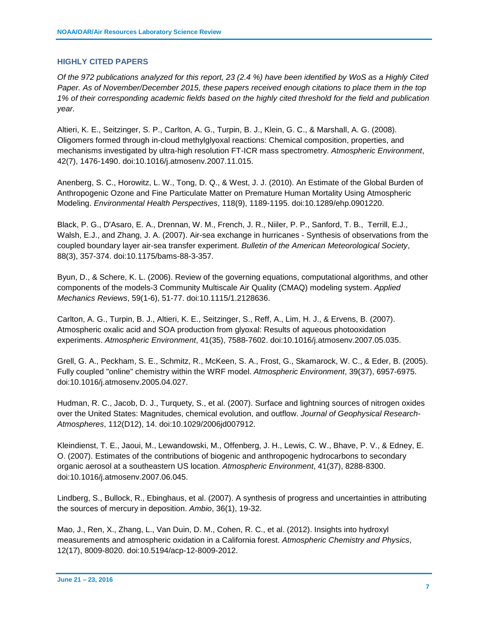# **HIGHLY CITED PAPERS**

*Of the 972 publications analyzed for this report, 23 (2.4 %) have been identified by WoS as a Highly Cited Paper. As of November/December 2015, these papers received enough citations to place them in the top 1% of their corresponding academic fields based on the highly cited threshold for the field and publication year.*

Altieri, K. E., Seitzinger, S. P., Carlton, A. G., Turpin, B. J., Klein, G. C., & Marshall, A. G. (2008). Oligomers formed through in-cloud methylglyoxal reactions: Chemical composition, properties, and mechanisms investigated by ultra-high resolution FT-ICR mass spectrometry. *Atmospheric Environment*, 42(7), 1476-1490. doi:10.1016/j.atmosenv.2007.11.015.

Anenberg, S. C., Horowitz, L. W., Tong, D. Q., & West, J. J. (2010). An Estimate of the Global Burden of Anthropogenic Ozone and Fine Particulate Matter on Premature Human Mortality Using Atmospheric Modeling. *Environmental Health Perspectives*, 118(9), 1189-1195. doi:10.1289/ehp.0901220.

Black, P. G., D'Asaro, E. A., Drennan, W. M., French, J. R., Niiler, P. P., Sanford, T. B., Terrill, E.J., Walsh, E.J., and Zhang, J. A. (2007). Air-sea exchange in hurricanes - Synthesis of observations from the coupled boundary layer air-sea transfer experiment. *Bulletin of the American Meteorological Society*, 88(3), 357-374. doi:10.1175/bams-88-3-357.

Byun, D., & Schere, K. L. (2006). Review of the governing equations, computational algorithms, and other components of the models-3 Community Multiscale Air Quality (CMAQ) modeling system. *Applied Mechanics Reviews*, 59(1-6), 51-77. doi:10.1115/1.2128636.

Carlton, A. G., Turpin, B. J., Altieri, K. E., Seitzinger, S., Reff, A., Lim, H. J., & Ervens, B. (2007). Atmospheric oxalic acid and SOA production from glyoxal: Results of aqueous photooxidation experiments. *Atmospheric Environment*, 41(35), 7588-7602. doi:10.1016/j.atmosenv.2007.05.035.

Grell, G. A., Peckham, S. E., Schmitz, R., McKeen, S. A., Frost, G., Skamarock, W. C., & Eder, B. (2005). Fully coupled "online" chemistry within the WRF model. *Atmospheric Environment*, 39(37), 6957-6975. doi:10.1016/j.atmosenv.2005.04.027.

Hudman, R. C., Jacob, D. J., Turquety, S., et al. (2007). Surface and lightning sources of nitrogen oxides over the United States: Magnitudes, chemical evolution, and outflow. *Journal of Geophysical Research-Atmospheres*, 112(D12), 14. doi:10.1029/2006jd007912.

Kleindienst, T. E., Jaoui, M., Lewandowski, M., Offenberg, J. H., Lewis, C. W., Bhave, P. V., & Edney, E. O. (2007). Estimates of the contributions of biogenic and anthropogenic hydrocarbons to secondary organic aerosol at a southeastern US location. *Atmospheric Environment*, 41(37), 8288-8300. doi:10.1016/j.atmosenv.2007.06.045.

Lindberg, S., Bullock, R., Ebinghaus, et al. (2007). A synthesis of progress and uncertainties in attributing the sources of mercury in deposition. *Ambio*, 36(1), 19-32.

Mao, J., Ren, X., Zhang, L., Van Duin, D. M., Cohen, R. C., et al. (2012). Insights into hydroxyl measurements and atmospheric oxidation in a California forest. *Atmospheric Chemistry and Physics*, 12(17), 8009-8020. doi:10.5194/acp-12-8009-2012.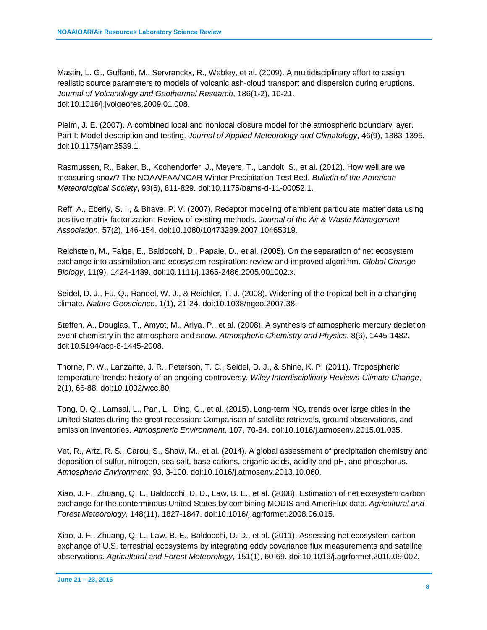Mastin, L. G., Guffanti, M., Servranckx, R., Webley, et al. (2009). A multidisciplinary effort to assign realistic source parameters to models of volcanic ash-cloud transport and dispersion during eruptions. *Journal of Volcanology and Geothermal Research*, 186(1-2), 10-21. doi:10.1016/j.jvolgeores.2009.01.008.

Pleim, J. E. (2007). A combined local and nonlocal closure model for the atmospheric boundary layer. Part I: Model description and testing. *Journal of Applied Meteorology and Climatology*, 46(9), 1383-1395. doi:10.1175/jam2539.1.

Rasmussen, R., Baker, B., Kochendorfer, J., Meyers, T., Landolt, S., et al. (2012). How well are we measuring snow? The NOAA/FAA/NCAR Winter Precipitation Test Bed. *Bulletin of the American Meteorological Society*, 93(6), 811-829. doi:10.1175/bams-d-11-00052.1.

Reff, A., Eberly, S. I., & Bhave, P. V. (2007). Receptor modeling of ambient particulate matter data using positive matrix factorization: Review of existing methods. *Journal of the Air & Waste Management Association*, 57(2), 146-154. doi:10.1080/10473289.2007.10465319.

Reichstein, M., Falge, E., Baldocchi, D., Papale, D., et al. (2005). On the separation of net ecosystem exchange into assimilation and ecosystem respiration: review and improved algorithm. *Global Change Biology*, 11(9), 1424-1439. doi:10.1111/j.1365-2486.2005.001002.x.

Seidel, D. J., Fu, Q., Randel, W. J., & Reichler, T. J. (2008). Widening of the tropical belt in a changing climate. *Nature Geoscience*, 1(1), 21-24. doi:10.1038/ngeo.2007.38.

Steffen, A., Douglas, T., Amyot, M., Ariya, P., et al. (2008). A synthesis of atmospheric mercury depletion event chemistry in the atmosphere and snow. *Atmospheric Chemistry and Physics*, 8(6), 1445-1482. doi:10.5194/acp-8-1445-2008.

Thorne, P. W., Lanzante, J. R., Peterson, T. C., Seidel, D. J., & Shine, K. P. (2011). Tropospheric temperature trends: history of an ongoing controversy. *Wiley Interdisciplinary Reviews-Climate Change*, 2(1), 66-88. doi:10.1002/wcc.80.

Tong, D. Q., Lamsal, L., Pan, L., Ding, C., et al. (2015). Long-term NO<sub>x</sub> trends over large cities in the United States during the great recession: Comparison of satellite retrievals, ground observations, and emission inventories. *Atmospheric Environment*, 107, 70-84. doi:10.1016/j.atmosenv.2015.01.035.

Vet, R., Artz, R. S., Carou, S., Shaw, M., et al. (2014). A global assessment of precipitation chemistry and deposition of sulfur, nitrogen, sea salt, base cations, organic acids, acidity and pH, and phosphorus. *Atmospheric Environment*, 93, 3-100. doi:10.1016/j.atmosenv.2013.10.060.

Xiao, J. F., Zhuang, Q. L., Baldocchi, D. D., Law, B. E., et al. (2008). Estimation of net ecosystem carbon exchange for the conterminous United States by combining MODIS and AmeriFlux data. *Agricultural and Forest Meteorology*, 148(11), 1827-1847. doi:10.1016/j.agrformet.2008.06.015.

Xiao, J. F., Zhuang, Q. L., Law, B. E., Baldocchi, D. D., et al. (2011). Assessing net ecosystem carbon exchange of U.S. terrestrial ecosystems by integrating eddy covariance flux measurements and satellite observations. *Agricultural and Forest Meteorology*, 151(1), 60-69. doi:10.1016/j.agrformet.2010.09.002.